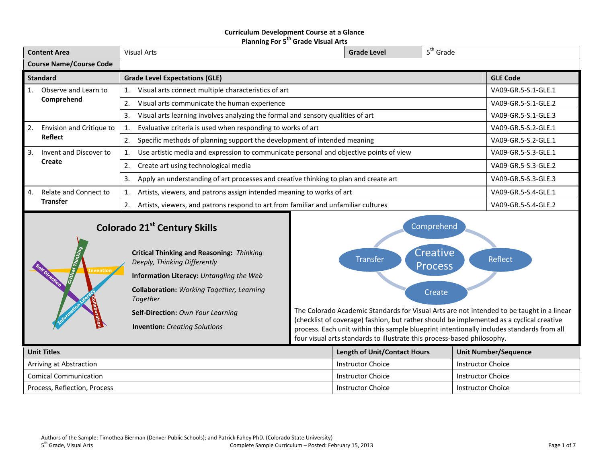## **Curriculum Development Course at a Glance Planning For 5 th Grade Visual Arts**

| <b>Content Area</b>            |                          | <b>Visual Arts</b>                                                                         | <b>Grade Level</b>  | $5th$ Grade         |  |
|--------------------------------|--------------------------|--------------------------------------------------------------------------------------------|---------------------|---------------------|--|
| <b>Course Name/Course Code</b> |                          |                                                                                            |                     |                     |  |
|                                | <b>Standard</b>          | <b>Grade Level Expectations (GLE)</b>                                                      |                     | <b>GLE Code</b>     |  |
|                                | Observe and Learn to     | Visual arts connect multiple characteristics of art                                        |                     | VA09-GR.5-S.1-GLE.1 |  |
|                                | Comprehend               | Visual arts communicate the human experience<br>2.                                         |                     | VA09-GR.5-S.1-GLE.2 |  |
|                                |                          | Visual arts learning involves analyzing the formal and sensory qualities of art<br>3.      | VA09-GR.5-S.1-GLE.3 |                     |  |
| 2.                             | Envision and Critique to | Evaluative criteria is used when responding to works of art                                | VA09-GR.5-S.2-GLE.1 |                     |  |
|                                | <b>Reflect</b>           | Specific methods of planning support the development of intended meaning<br>2.             |                     | VA09-GR.5-S.2-GLE.1 |  |
| 3.                             | Invent and Discover to   | Use artistic media and expression to communicate personal and objective points of view     |                     | VA09-GR.5-S.3-GLE.1 |  |
|                                | Create                   | Create art using technological media<br>2.                                                 |                     | VA09-GR.5-S.3-GLE.2 |  |
|                                |                          | Apply an understanding of art processes and creative thinking to plan and create art<br>3. | VA09-GR.5-S.3-GLE.3 |                     |  |
| 4.                             | Relate and Connect to    | Artists, viewers, and patrons assign intended meaning to works of art                      |                     | VA09-GR.5-S.4-GLE.1 |  |
|                                | <b>Transfer</b>          | Artists, viewers, and patrons respond to art from familiar and unfamiliar cultures<br>2.   |                     | VA09-GR.5-S.4-GLE.2 |  |
|                                |                          |                                                                                            |                     |                     |  |

# **Colorado 21st Century Skills**

**Invention**

**Critical Thinking and Reasoning:** *Thinking Deeply, Thinking Differently*

**Information Literacy:** *Untangling the Web*

**Collaboration:** *Working Together, Learning Together*

**Self-Direction:** *Own Your Learning*

**Invention:** *Creating Solutions*



The Colorado Academic Standards for Visual Arts are not intended to be taught in a linear (checklist of coverage) fashion, but rather should be implemented as a cyclical creative process. Each unit within this sample blueprint intentionally includes standards from all four visual arts standards to illustrate this process-based philosophy.

| <b>Unit Titles</b>           | <b>Length of Unit/Contact Hours</b> | <b>Unit Number/Sequence</b> |
|------------------------------|-------------------------------------|-----------------------------|
| Arriving at Abstraction      | <b>Instructor Choice</b>            | <b>Instructor Choice</b>    |
| <b>Comical Communication</b> | Instructor Choice                   | Instructor Choice           |
| Process, Reflection, Process | Instructor Choice                   | Instructor Choice           |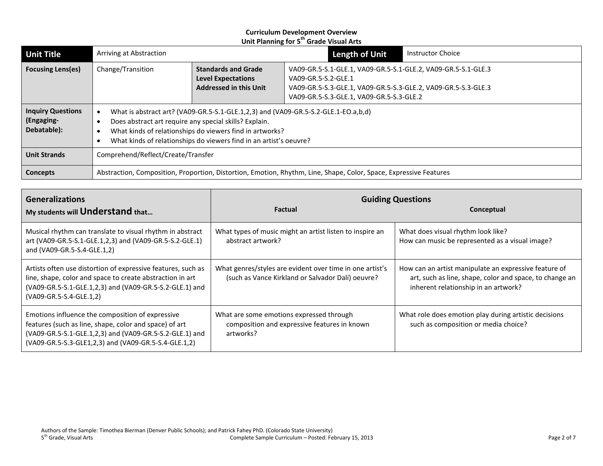| <b>Unit Title</b>                                     | Arriving at Abstraction                                                                                                                                                                                                                                                        |                                                                                          | Length of Unit                                                                                                                                                                                    | <b>Instructor Choice</b> |
|-------------------------------------------------------|--------------------------------------------------------------------------------------------------------------------------------------------------------------------------------------------------------------------------------------------------------------------------------|------------------------------------------------------------------------------------------|---------------------------------------------------------------------------------------------------------------------------------------------------------------------------------------------------|--------------------------|
| <b>Focusing Lens(es)</b>                              | Change/Transition                                                                                                                                                                                                                                                              | <b>Standards and Grade</b><br><b>Level Expectations</b><br><b>Addressed in this Unit</b> | VA09-GR.5-S.1-GLE.1, VA09-GR.5-S.1-GLE.2, VA09-GR.5-S.1-GLE.3<br>VA09-GR.5-S.2-GLE.1<br>VA09-GR.5-S.3-GLE.1, VA09-GR.5-S.3-GLE.2, VA09-GR.5-S.3-GLE.3<br>VA09-GR.5-S.3-GLE.1, VA09-GR.5-S.3-GLE.2 |                          |
| <b>Inquiry Questions</b><br>(Engaging-<br>Debatable): | What is abstract art? (VA09-GR.5-S.1-GLE.1,2,3) and (VA09-GR.5-S.2-GLE.1-EO.a,b,d)<br>Does abstract art require any special skills? Explain.<br>What kinds of relationships do viewers find in artworks?<br>What kinds of relationships do viewers find in an artist's oeuvre? |                                                                                          |                                                                                                                                                                                                   |                          |
| <b>Unit Strands</b>                                   | Comprehend/Reflect/Create/Transfer                                                                                                                                                                                                                                             |                                                                                          |                                                                                                                                                                                                   |                          |
| <b>Concepts</b>                                       | Abstraction, Composition, Proportion, Distortion, Emotion, Rhythm, Line, Shape, Color, Space, Expressive Features                                                                                                                                                              |                                                                                          |                                                                                                                                                                                                   |                          |

| <b>Generalizations</b>                                                                                                                                                                                                        | <b>Guiding Questions</b>                                                                                      |                                                                                                                                                          |  |
|-------------------------------------------------------------------------------------------------------------------------------------------------------------------------------------------------------------------------------|---------------------------------------------------------------------------------------------------------------|----------------------------------------------------------------------------------------------------------------------------------------------------------|--|
| My students will <b>Understand</b> that                                                                                                                                                                                       | Factual                                                                                                       | Conceptual                                                                                                                                               |  |
| Musical rhythm can translate to visual rhythm in abstract<br>art (VA09-GR.5-S.1-GLE.1,2,3) and (VA09-GR.5-S.2-GLE.1)<br>and (VA09-GR.5-S.4-GLE.1,2)                                                                           | What types of music might an artist listen to inspire an<br>abstract artwork?                                 | What does visual rhythm look like?<br>How can music be represented as a visual image?                                                                    |  |
| Artists often use distortion of expressive features, such as<br>line, shape, color and space to create abstraction in art<br>(VA09-GR.5-S.1-GLE.1,2,3) and (VA09-GR.5-S.2-GLE.1) and<br>(VA09-GR.5-S.4-GLE.1,2)               | What genres/styles are evident over time in one artist's<br>(such as Vance Kirkland or Salvador Dalí) oeuvre? | How can an artist manipulate an expressive feature of<br>art, such as line, shape, color and space, to change an<br>inherent relationship in an artwork? |  |
| Emotions influence the composition of expressive<br>features (such as line, shape, color and space) of art<br>(VA09-GR.5-S.1-GLE.1,2,3) and (VA09-GR.5-S.2-GLE.1) and<br>(VA09-GR.5-S.3-GLE1,2,3) and (VA09-GR.5-S.4-GLE.1,2) | What are some emotions expressed through<br>composition and expressive features in known<br>artworks?         | What role does emotion play during artistic decisions<br>such as composition or media choice?                                                            |  |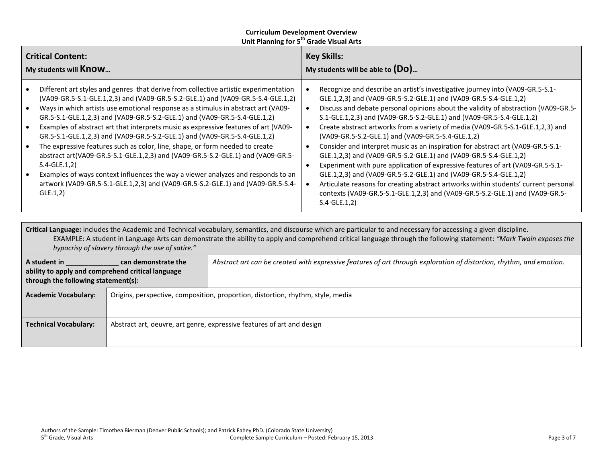| <b>Critical Content:</b>                                                                                                                                                                                                                                                                                                                                                                                                                                                                                                                                                                                                                                                                                                                                                                                                                                                              | <b>Key Skills:</b>                                                                                                                                                                                                                                                                                                                                                                                                                                                                                                                                                                                                                                                                                                                                                                                                                                                                                                                                           |  |
|---------------------------------------------------------------------------------------------------------------------------------------------------------------------------------------------------------------------------------------------------------------------------------------------------------------------------------------------------------------------------------------------------------------------------------------------------------------------------------------------------------------------------------------------------------------------------------------------------------------------------------------------------------------------------------------------------------------------------------------------------------------------------------------------------------------------------------------------------------------------------------------|--------------------------------------------------------------------------------------------------------------------------------------------------------------------------------------------------------------------------------------------------------------------------------------------------------------------------------------------------------------------------------------------------------------------------------------------------------------------------------------------------------------------------------------------------------------------------------------------------------------------------------------------------------------------------------------------------------------------------------------------------------------------------------------------------------------------------------------------------------------------------------------------------------------------------------------------------------------|--|
| My students will <b>Know</b>                                                                                                                                                                                                                                                                                                                                                                                                                                                                                                                                                                                                                                                                                                                                                                                                                                                          | My students will be able to $(Do)$                                                                                                                                                                                                                                                                                                                                                                                                                                                                                                                                                                                                                                                                                                                                                                                                                                                                                                                           |  |
| Different art styles and genres that derive from collective artistic experimentation<br>(VA09-GR.5-S.1-GLE.1,2,3) and (VA09-GR.5-S.2-GLE.1) and (VA09-GR.5-S.4-GLE.1,2)<br>Ways in which artists use emotional response as a stimulus in abstract art (VA09-<br>GR.5-S.1-GLE.1,2,3) and (VA09-GR.5-S.2-GLE.1) and (VA09-GR.5-S.4-GLE.1,2)<br>Examples of abstract art that interprets music as expressive features of art (VA09-<br>GR.5-S.1-GLE.1,2,3) and (VA09-GR.5-S.2-GLE.1) and (VA09-GR.5-S.4-GLE.1,2)<br>The expressive features such as color, line, shape, or form needed to create<br>abstract art(VA09-GR.5-S.1-GLE.1,2,3) and (VA09-GR.5-S.2-GLE.1) and (VA09-GR.5-<br>$S.4-GLE.1,2)$<br>Examples of ways context influences the way a viewer analyzes and responds to an<br>artwork (VA09-GR.5-S.1-GLE.1,2,3) and (VA09-GR.5-S.2-GLE.1) and (VA09-GR.5-S.4-<br>GLE.1,2) | Recognize and describe an artist's investigative journey into (VA09-GR.5-S.1-<br>GLE.1,2,3) and (VA09-GR.5-S.2-GLE.1) and (VA09-GR.5-S.4-GLE.1,2)<br>Discuss and debate personal opinions about the validity of abstraction (VA09-GR.5-<br>S.1-GLE.1,2,3) and (VA09-GR.5-S.2-GLE.1) and (VA09-GR.5-S.4-GLE.1,2)<br>Create abstract artworks from a variety of media (VA09-GR.5-S.1-GLE.1,2,3) and<br>(VA09-GR.5-S.2-GLE.1) and (VA09-GR.5-S.4-GLE.1,2)<br>Consider and interpret music as an inspiration for abstract art (VA09-GR.5-S.1-<br>GLE.1,2,3) and (VA09-GR.5-S.2-GLE.1) and (VA09-GR.5-S.4-GLE.1,2)<br>Experiment with pure application of expressive features of art (VA09-GR.5-S.1-<br>GLE.1,2,3) and (VA09-GR.5-S.2-GLE.1) and (VA09-GR.5-S.4-GLE.1,2)<br>Articulate reasons for creating abstract artworks within students' current personal<br>contexts (VA09-GR.5-S.1-GLE.1,2,3) and (VA09-GR.5-S.2-GLE.1) and (VA09-GR.5-<br>$S.4-GLE.1,2)$ |  |

**Critical Language:** includes the Academic and Technical vocabulary, semantics, and discourse which are particular to and necessary for accessing a given discipline. EXAMPLE: A student in Language Arts can demonstrate the ability to apply and comprehend critical language through the following statement: *"Mark Twain exposes the hypocrisy of slavery through the use of satire."*

| A student in<br>can demonstrate the<br>ability to apply and comprehend critical language<br>through the following statement(s): |  | Abstract art can be created with expressive features of art through exploration of distortion, rhythm, and emotion. |
|---------------------------------------------------------------------------------------------------------------------------------|--|---------------------------------------------------------------------------------------------------------------------|
| <b>Academic Vocabulary:</b>                                                                                                     |  | Origins, perspective, composition, proportion, distortion, rhythm, style, media                                     |
|                                                                                                                                 |  |                                                                                                                     |
| <b>Technical Vocabulary:</b>                                                                                                    |  | Abstract art, oeuvre, art genre, expressive features of art and design                                              |
|                                                                                                                                 |  |                                                                                                                     |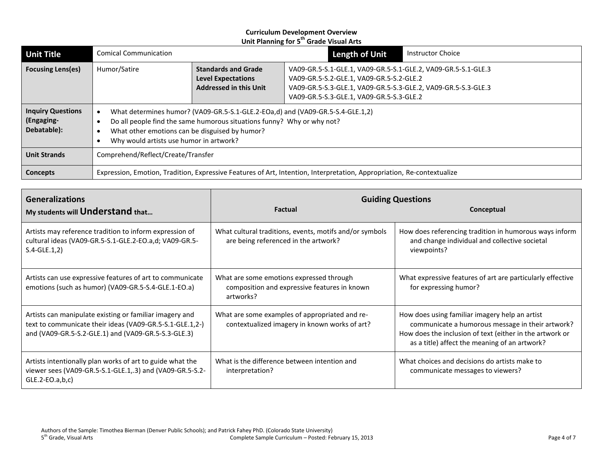| <b>Unit Title</b>                                                                                                                         | <b>Comical Communication</b>                                                                                                                                                                                                                          |                                                                                          | <b>Length of Unit</b>                                                                                                                                                                                                  | <b>Instructor Choice</b> |
|-------------------------------------------------------------------------------------------------------------------------------------------|-------------------------------------------------------------------------------------------------------------------------------------------------------------------------------------------------------------------------------------------------------|------------------------------------------------------------------------------------------|------------------------------------------------------------------------------------------------------------------------------------------------------------------------------------------------------------------------|--------------------------|
| <b>Focusing Lens(es)</b>                                                                                                                  | Humor/Satire                                                                                                                                                                                                                                          | <b>Standards and Grade</b><br><b>Level Expectations</b><br><b>Addressed in this Unit</b> | VA09-GR.5-S.1-GLE.1, VA09-GR.5-S.1-GLE.2, VA09-GR.5-S.1-GLE.3<br>VA09-GR.5-S.2-GLE.1, VA09-GR.5-S.2-GLE.2<br>VA09-GR.5-S.3-GLE.1, VA09-GR.5-S.3-GLE.2, VA09-GR.5-S.3-GLE.3<br>VA09-GR.5-S.3-GLE.1, VA09-GR.5-S.3-GLE.2 |                          |
| <b>Inquiry Questions</b><br>(Engaging-<br>Debatable):                                                                                     | What determines humor? (VA09-GR.5-S.1-GLE.2-EOa,d) and (VA09-GR.5-S.4-GLE.1,2)<br>Do all people find the same humorous situations funny? Why or why not?<br>What other emotions can be disguised by humor?<br>Why would artists use humor in artwork? |                                                                                          |                                                                                                                                                                                                                        |                          |
| <b>Unit Strands</b>                                                                                                                       | Comprehend/Reflect/Create/Transfer                                                                                                                                                                                                                    |                                                                                          |                                                                                                                                                                                                                        |                          |
| Expression, Emotion, Tradition, Expressive Features of Art, Intention, Interpretation, Appropriation, Re-contextualize<br><b>Concepts</b> |                                                                                                                                                                                                                                                       |                                                                                          |                                                                                                                                                                                                                        |                          |

| <b>Generalizations</b><br>My students will Understand that                                                                                                                 | Factual                                                                                               | <b>Guiding Questions</b><br>Conceptual                                                                                                                                                                          |  |
|----------------------------------------------------------------------------------------------------------------------------------------------------------------------------|-------------------------------------------------------------------------------------------------------|-----------------------------------------------------------------------------------------------------------------------------------------------------------------------------------------------------------------|--|
| Artists may reference tradition to inform expression of<br>cultural ideas (VA09-GR.5-S.1-GLE.2-EO.a,d; VA09-GR.5-<br>$S.4-GLE.1,2)$                                        | What cultural traditions, events, motifs and/or symbols<br>are being referenced in the artwork?       | How does referencing tradition in humorous ways inform<br>and change individual and collective societal<br>viewpoints?                                                                                          |  |
| Artists can use expressive features of art to communicate<br>emotions (such as humor) (VA09-GR.5-S.4-GLE.1-EO.a)                                                           | What are some emotions expressed through<br>composition and expressive features in known<br>artworks? | What expressive features of art are particularly effective<br>for expressing humor?                                                                                                                             |  |
| Artists can manipulate existing or familiar imagery and<br>text to communicate their ideas (VA09-GR.5-S.1-GLE.1,2-)<br>and (VA09-GR.5-S.2-GLE.1) and (VA09-GR.5-S.3-GLE.3) | What are some examples of appropriated and re-<br>contextualized imagery in known works of art?       | How does using familiar imagery help an artist<br>communicate a humorous message in their artwork?<br>How does the inclusion of text (either in the artwork or<br>as a title) affect the meaning of an artwork? |  |
| Artists intentionally plan works of art to guide what the<br>viewer sees (VA09-GR.5-S.1-GLE.1,.3) and (VA09-GR.5-S.2-<br>$GLE.2-EO.a,b,c)$                                 | What is the difference between intention and<br>interpretation?                                       | What choices and decisions do artists make to<br>communicate messages to viewers?                                                                                                                               |  |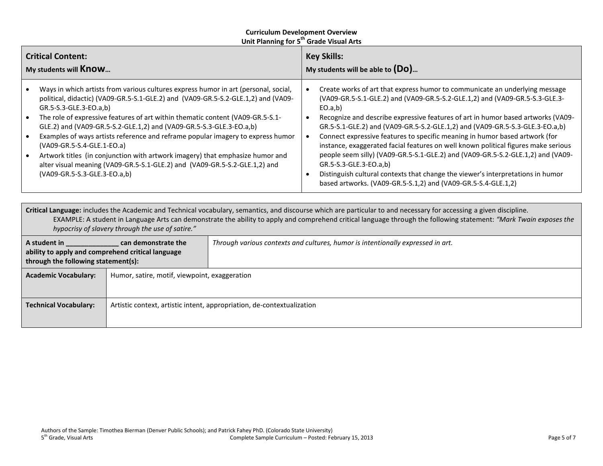| <b>Critical Content:</b><br>My students will <b>Know</b>                                                                                                                                                                                                                                                                                                                                                                                                                                                                                                                                                                                                                    | <b>Key Skills:</b><br>My students will be able to $(Do)$                                                                                                                                                                                                                                                                                                                                                                                                                                                                                                                                                                                                                                                                                                                        |  |  |  |
|-----------------------------------------------------------------------------------------------------------------------------------------------------------------------------------------------------------------------------------------------------------------------------------------------------------------------------------------------------------------------------------------------------------------------------------------------------------------------------------------------------------------------------------------------------------------------------------------------------------------------------------------------------------------------------|---------------------------------------------------------------------------------------------------------------------------------------------------------------------------------------------------------------------------------------------------------------------------------------------------------------------------------------------------------------------------------------------------------------------------------------------------------------------------------------------------------------------------------------------------------------------------------------------------------------------------------------------------------------------------------------------------------------------------------------------------------------------------------|--|--|--|
| Ways in which artists from various cultures express humor in art (personal, social,<br>political, didactic) (VA09-GR.5-S.1-GLE.2) and (VA09-GR.5-S.2-GLE.1,2) and (VA09-<br>GR.5-S.3-GLE.3-EO.a,b)<br>The role of expressive features of art within thematic content (VA09-GR.5-S.1-<br>GLE.2) and (VA09-GR.5-S.2-GLE.1,2) and (VA09-GR.5-S.3-GLE.3-EO.a,b)<br>Examples of ways artists reference and reframe popular imagery to express humor<br>(VA09-GR.5-S.4-GLE.1-EO.a)<br>Artwork titles (in conjunction with artwork imagery) that emphasize humor and<br>alter visual meaning (VA09-GR.5-S.1-GLE.2) and (VA09-GR.5-S.2-GLE.1,2) and<br>(VA09-GR.5-S.3-GLE.3-EO.a,b) | Create works of art that express humor to communicate an underlying message<br>(VA09-GR.5-S.1-GLE.2) and (VA09-GR.5-S.2-GLE.1,2) and (VA09-GR.5-S.3-GLE.3-<br>EO.a,b)<br>Recognize and describe expressive features of art in humor based artworks (VA09-<br>GR.5-S.1-GLE.2) and (VA09-GR.5-S.2-GLE.1,2) and (VA09-GR.5-S.3-GLE.3-EO.a,b)<br>Connect expressive features to specific meaning in humor based artwork (for<br>instance, exaggerated facial features on well known political figures make serious<br>people seem silly) (VA09-GR.5-S.1-GLE.2) and (VA09-GR.5-S.2-GLE.1,2) and (VA09-<br>GR.5-S.3-GLE.3-EO.a,b)<br>Distinguish cultural contexts that change the viewer's interpretations in humor<br>based artworks. (VA09-GR.5-S.1,2) and (VA09-GR.5-S.4-GLE.1,2) |  |  |  |
| Critical Language: includes the Academic and Technical vocabulary, semantics, and discourse which are particular to and necessary for accessing a given discipline.<br>EXAMPLE: A student in Language Arts can demonstrate the ability to apply and comprehend critical language through the following statement: "Mark Twain exposes the<br>hypocrisy of slavery through the use of satire."                                                                                                                                                                                                                                                                               |                                                                                                                                                                                                                                                                                                                                                                                                                                                                                                                                                                                                                                                                                                                                                                                 |  |  |  |

| A student in<br>can demonstrate the<br>ability to apply and comprehend critical language<br>through the following statement(s): |                                               | Through various contexts and cultures, humor is intentionally expressed in art. |
|---------------------------------------------------------------------------------------------------------------------------------|-----------------------------------------------|---------------------------------------------------------------------------------|
| <b>Academic Vocabulary:</b>                                                                                                     | Humor, satire, motif, viewpoint, exaggeration |                                                                                 |
| <b>Technical Vocabulary:</b>                                                                                                    |                                               | Artistic context, artistic intent, appropriation, de-contextualization          |
|                                                                                                                                 |                                               |                                                                                 |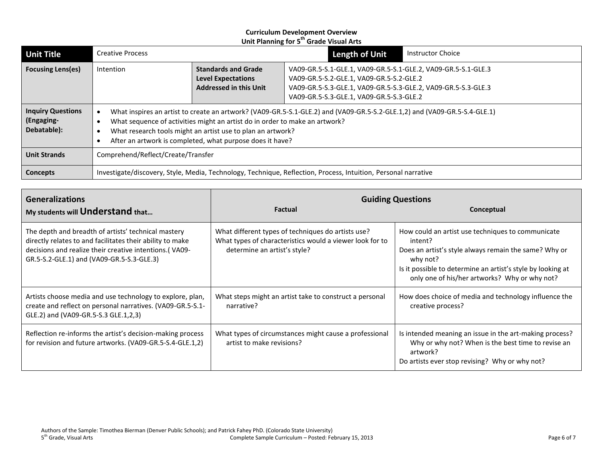| <b>Unit Title</b>                                                                                                          | <b>Creative Process</b>                                                                                                                                                                                                                                                                                                              |                                                                                                                                                                                                                                                                                                                    | <b>Length of Unit</b> | <b>Instructor Choice</b> |
|----------------------------------------------------------------------------------------------------------------------------|--------------------------------------------------------------------------------------------------------------------------------------------------------------------------------------------------------------------------------------------------------------------------------------------------------------------------------------|--------------------------------------------------------------------------------------------------------------------------------------------------------------------------------------------------------------------------------------------------------------------------------------------------------------------|-----------------------|--------------------------|
| <b>Focusing Lens(es)</b>                                                                                                   | Intention                                                                                                                                                                                                                                                                                                                            | <b>Standards and Grade</b><br>VA09-GR.5-S.1-GLE.1, VA09-GR.5-S.1-GLE.2, VA09-GR.5-S.1-GLE.3<br><b>Level Expectations</b><br>VA09-GR.5-S.2-GLE.1, VA09-GR.5-S.2-GLE.2<br><b>Addressed in this Unit</b><br>VA09-GR.5-S.3-GLE.1, VA09-GR.5-S.3-GLE.2, VA09-GR.5-S.3-GLE.3<br>VA09-GR.5-S.3-GLE.1, VA09-GR.5-S.3-GLE.2 |                       |                          |
| <b>Inquiry Questions</b><br>(Engaging-<br>Debatable):                                                                      | What inspires an artist to create an artwork? (VA09-GR.5-S.1-GLE.2) and (VA09-GR.5-S.2-GLE.1,2) and (VA09-GR.5-S.4-GLE.1)<br>What sequence of activities might an artist do in order to make an artwork?<br>What research tools might an artist use to plan an artwork?<br>After an artwork is completed, what purpose does it have? |                                                                                                                                                                                                                                                                                                                    |                       |                          |
| <b>Unit Strands</b>                                                                                                        | Comprehend/Reflect/Create/Transfer                                                                                                                                                                                                                                                                                                   |                                                                                                                                                                                                                                                                                                                    |                       |                          |
| Investigate/discovery, Style, Media, Technology, Technique, Reflection, Process, Intuition, Personal narrative<br>Concepts |                                                                                                                                                                                                                                                                                                                                      |                                                                                                                                                                                                                                                                                                                    |                       |                          |

| <b>Generalizations</b><br>My students will Understand that                                                                                                                                                              | <b>Factual</b>                                                                                                                                 | <b>Guiding Questions</b><br>Conceptual                                                                                                                                                                                                            |  |
|-------------------------------------------------------------------------------------------------------------------------------------------------------------------------------------------------------------------------|------------------------------------------------------------------------------------------------------------------------------------------------|---------------------------------------------------------------------------------------------------------------------------------------------------------------------------------------------------------------------------------------------------|--|
| The depth and breadth of artists' technical mastery<br>directly relates to and facilitates their ability to make<br>decisions and realize their creative intentions.(VA09-<br>GR.5-S.2-GLE.1) and (VA09-GR.5-S.3-GLE.3) | What different types of techniques do artists use?<br>What types of characteristics would a viewer look for to<br>determine an artist's style? | How could an artist use techniques to communicate<br>intent?<br>Does an artist's style always remain the same? Why or<br>why not?<br>Is it possible to determine an artist's style by looking at<br>only one of his/her artworks? Why or why not? |  |
| Artists choose media and use technology to explore, plan,<br>create and reflect on personal narratives. (VA09-GR.5-S.1-<br>GLE.2) and (VA09-GR.5-S.3 GLE.1,2,3)                                                         | What steps might an artist take to construct a personal<br>narrative?                                                                          | How does choice of media and technology influence the<br>creative process?                                                                                                                                                                        |  |
| Reflection re-informs the artist's decision-making process<br>for revision and future artworks. (VA09-GR.5-S.4-GLE.1,2)                                                                                                 | What types of circumstances might cause a professional<br>artist to make revisions?                                                            | Is intended meaning an issue in the art-making process?<br>Why or why not? When is the best time to revise an<br>artwork?<br>Do artists ever stop revising? Why or why not?                                                                       |  |